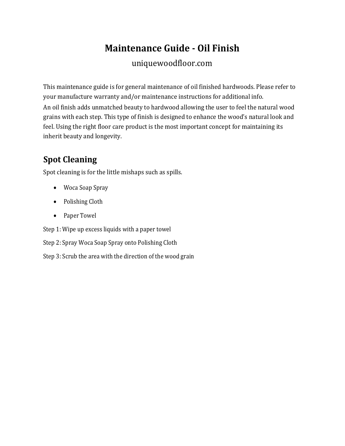# **Maintenance Guide - Oil Finish**

#### uniquewoodfloor.com

This maintenance guide is for general maintenance of oil finished hardwoods. Please refer to your manufacture warranty and/or maintenance instructions for additional info. An oil finish adds unmatched beauty to hardwood allowing the user to feel the natural wood grains with each step. This type of finish is designed to enhance the wood's natural look and feel. Using the right floor care product is the most important concept for maintaining its inherit beauty and longevity.

## **Spot Cleaning**

Spot cleaning is for the little mishaps such as spills.

- Woca Soap Spray
- Polishing Cloth
- Paper Towel

Step 1: Wipe up excess liquids with a paper towel

Step 2: Spray Woca Soap Spray onto Polishing Cloth

Step 3: Scrub the area with the direction of the wood grain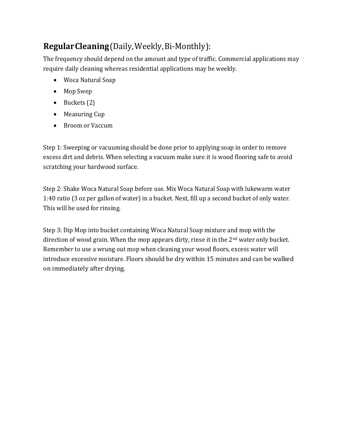### **RegularCleaning**(Daily,Weekly,Bi-Monthly):

The frequency should depend on the amount and type of traffic. Commercial applications may require daily cleaning whereas residential applications may be weekly.

- Woca Natural Soap
- Mop Swep
- Buckets (2)
- Measuring Cup
- Broom or Vaccum

Step 1: Sweeping or vacuuming should be done prior to applying soap in order to remove excess dirt and debris. When selecting a vacuum make sure it is wood flooring safe to avoid scratching your hardwood surface.

Step 2: Shake Woca Natural Soap before use. Mix Woca Natural Soap with lukewarm water 1:40 ratio (3 oz per gallon of water) in a bucket. Next, fill up a second bucket of only water. This will be used for rinsing.

Step 3: Dip Mop into bucket containing Woca Natural Soap mixture and mop with the direction of wood grain. When the mop appears dirty, rinse it in the 2<sup>nd</sup> water only bucket. Remember to use a wrung out mop when cleaning your wood floors, excess water will introduce excessive moisture. Floors should be dry within 15 minutes and can be walked on immediately after drying.